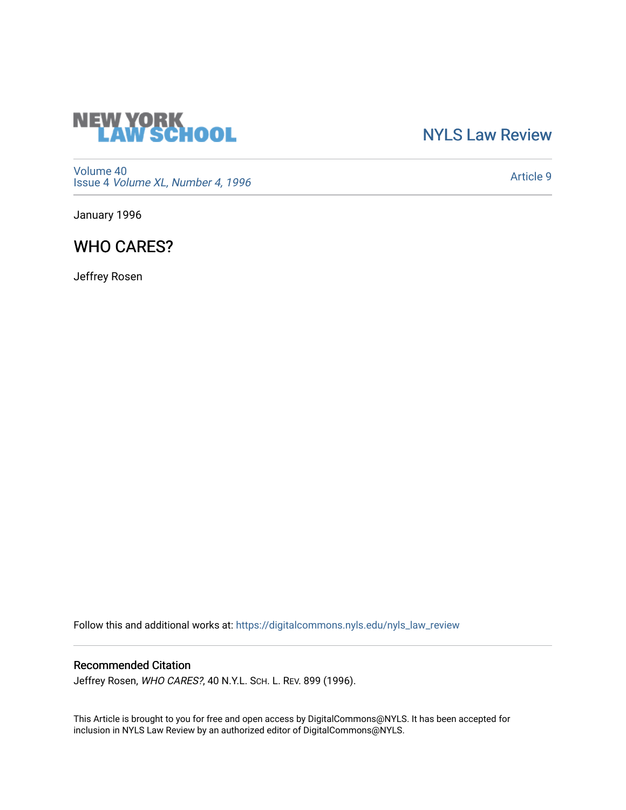

## [NYLS Law Review](https://digitalcommons.nyls.edu/nyls_law_review)

[Volume 40](https://digitalcommons.nyls.edu/nyls_law_review/vol40) Issue 4 [Volume XL, Number 4, 1996](https://digitalcommons.nyls.edu/nyls_law_review/vol40/iss4)

[Article 9](https://digitalcommons.nyls.edu/nyls_law_review/vol40/iss4/9) 

January 1996

# WHO CARES?

Jeffrey Rosen

Follow this and additional works at: [https://digitalcommons.nyls.edu/nyls\\_law\\_review](https://digitalcommons.nyls.edu/nyls_law_review?utm_source=digitalcommons.nyls.edu%2Fnyls_law_review%2Fvol40%2Fiss4%2F9&utm_medium=PDF&utm_campaign=PDFCoverPages) 

## Recommended Citation

Jeffrey Rosen, WHO CARES?, 40 N.Y.L. SCH. L. REV. 899 (1996).

This Article is brought to you for free and open access by DigitalCommons@NYLS. It has been accepted for inclusion in NYLS Law Review by an authorized editor of DigitalCommons@NYLS.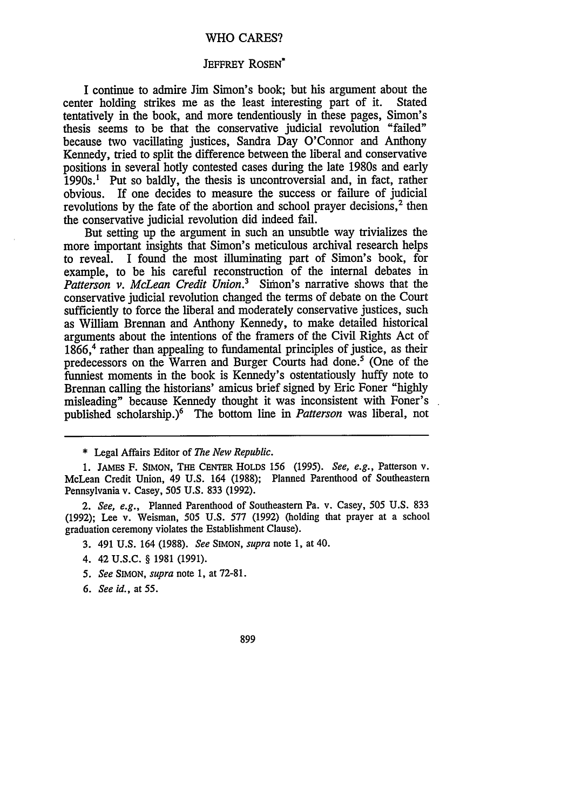### WHO CARES?

### JEFFREY ROSEN<sup>\*</sup>

I continue to admire Jim Simon's book; but his argument about the center holding strikes me as the least interesting part of it. tentatively in the book, and more tendentiously in these pages, Simon's thesis seems to be that the conservative judicial revolution "failed" because two vacillating justices, Sandra Day O'Connor and Anthony Kennedy, tried to split the difference between the liberal and conservative positions in several hotly contested cases during the late 1980s and early  $1990s$ .<sup>1</sup> Put so baldly, the thesis is uncontroversial and, in fact, rather obvious. If one decides to measure the success or failure of judicial revolutions by the fate of the abortion and school prayer decisions, $<sup>2</sup>$  then</sup> the conservative judicial revolution did indeed fail.

But setting up the argument in such an unsubtle way trivializes the more important insights that Simon's meticulous archival research helps to reveal. I found the most illuminating part of Simon's book, for example, to be his careful reconstruction of the internal debates in *Patterson v. McLean Credit Union.3* Simon's narrative shows that the conservative judicial revolution changed the terms of debate on the Court sufficiently to force the liberal and moderately conservative justices, such as William Brennan and Anthony Kennedy, to make detailed historical arguments about the intentions of the framers of the Civil Rights Act of 1866,<sup>4</sup> rather than appealing to fundamental principles of justice, as their predecessors on the Warren and Burger Courts had done.' (One of the funniest moments in the book is Kennedy's ostentatiously huffy note to Brennan calling the historians' amicus brief signed by Eric Foner "highly misleading" because Kennedy thought it was inconsistent with Foner's published scholarship.)<sup>6</sup> The bottom line in *Patterson* was liberal, not

1. JAMEs F. SIMON, THE CENTER HOLDS 156 (1995). *See, e.g.,* Patterson v. McLean Credit Union, 49 U.S. 164 (1988); Planned Parenthood of Southeastern Pennsylvania v. Casey, 505 U.S. 833 (1992).

*2. See, e.g.,* Planned Parenthood of Southeastern Pa. v. Casey, 505 U.S. 833 (1992); Lee v. Weisman, 505 U.S. 577 (1992) (holding that prayer at a school graduation ceremony violates the Establishment Clause).

- 3. 491 U.S. 164 (1988). *See* **SIMON,** *supra* note 1, at 40.
- 4. 42 U.S.C. § 1981 (1991).
- *5. See* SIMON, *supra* note 1, at 72-81.
- *6. See id.,* at 55.

899

<sup>\*</sup> Legal Affairs Editor of *The New Republic.*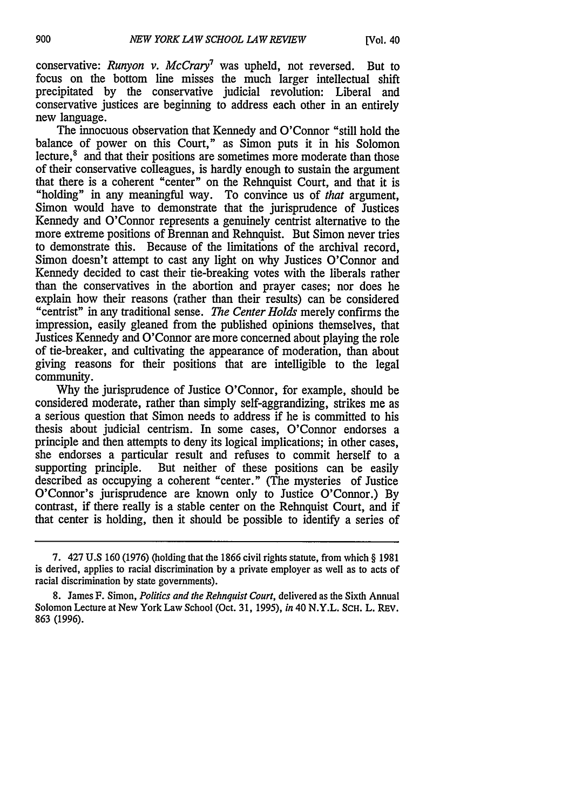conservative: *Runyon v. McCray7* was upheld, not reversed. But to focus on the bottom line misses the much larger intellectual shift precipitated by the conservative judicial revolution: Liberal and conservative justices are beginning to address each other in an entirely new language.

The innocuous observation that Kennedy and O'Connor "still hold the balance of power on this Court," as Simon puts it in his Solomon lecture, $<sup>8</sup>$  and that their positions are sometimes more moderate than those</sup> of their conservative colleagues, is hardly enough to sustain the argument that there is a coherent "center" on the Rehnquist Court, and that it is "holding" in any meaningful way. To convince us of *that* argument, Simon would have to demonstrate that the jurisprudence of Justices Kennedy and O'Connor represents a genuinely centrist alternative to the more extreme positions of Brennan and Rehnquist. But Simon never tries to demonstrate this. Because of the limitations of the archival record, Simon doesn't attempt to cast any light on why Justices O'Connor and Kennedy decided to cast their tie-breaking votes with the liberals rather than the conservatives in the abortion and prayer cases; nor does he explain how their reasons (rather than their results) can be considered "centrist" in any traditional sense. *The Center Holds* merely confirms the impression, easily gleaned from the published opinions themselves, that Justices Kennedy and O'Connor are more concerned about playing the role of tie-breaker, and cultivating the appearance of moderation, than about giving reasons for their positions that are intelligible to the legal community.

Why the jurisprudence of Justice O'Connor, for example, should be considered moderate, rather than simply self-aggrandizing, strikes me as a serious question that Simon needs to address if he is committed to his thesis about judicial centrism. In some cases, O'Connor endorses a principle and then attempts to deny its logical implications; in other cases, she endorses a particular result and refuses to commit herself to a supporting principle. But neither of these positions can be easily described as occupying a coherent "center." (The mysteries of Justice O'Connor's jurisprudence are known only to Justice O'Connor.) By contrast, if there really is a stable center on the Rehnquist Court, and if that center is holding, then it should be possible to identify a series of

<sup>7. 427</sup> U.S 160 (1976) (holding that the 1866 civil rights statute, from which § 1981 is derived, applies to racial discrimination by a private employer as well as to acts of racial discrimination by state governments).

<sup>8.</sup> James F. Simon, *Politics and the Rehnquist Court,* delivered as the Sixth Annual Solomon Lecture at New York Law School (Oct. 31, 1995), *in* 40 N.Y.L. ScH. L. REV. 863 (1996).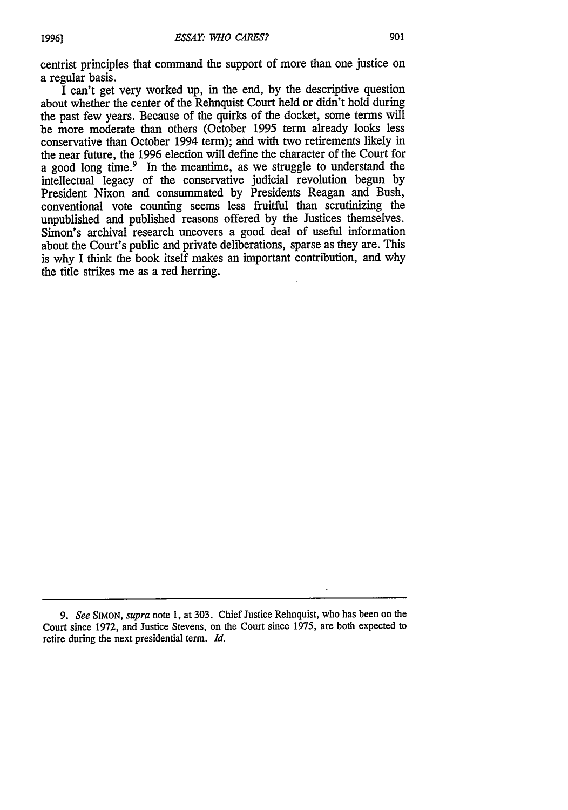centrist principles that command the support of more than one justice on a regular basis.

I can't get very worked up, in the end, by the descriptive question about whether the center of the Rehnquist Court held or didn't hold during the past few years. Because of the quirks of the docket, some terms will be more moderate than others (October 1995 term already looks less conservative than October 1994 term); and with two retirements likely in the near future, the 1996 election will define the character of the Court for a good long time.<sup>9</sup> In the meantime, as we struggle to understand the intellectual legacy of the conservative judicial revolution begun by President Nixon and consummated by Presidents Reagan and Bush, conventional vote counting seems less fruitful than scrutinizing the unpublished and published reasons offered by the Justices themselves. Simon's archival research uncovers a good deal of useful information about the Court's public and private deliberations, sparse as they are. This is why I think the book itself makes an important contribution, and why the title strikes me as a red herring.

*<sup>9.</sup> See* **SIMON,** *supra* note 1, at 303. Chief Justice Rehnquist, who has been on the Court since 1972, and Justice Stevens, on the Court since 1975, are both expected to retire during the next presidential term. *Id.*